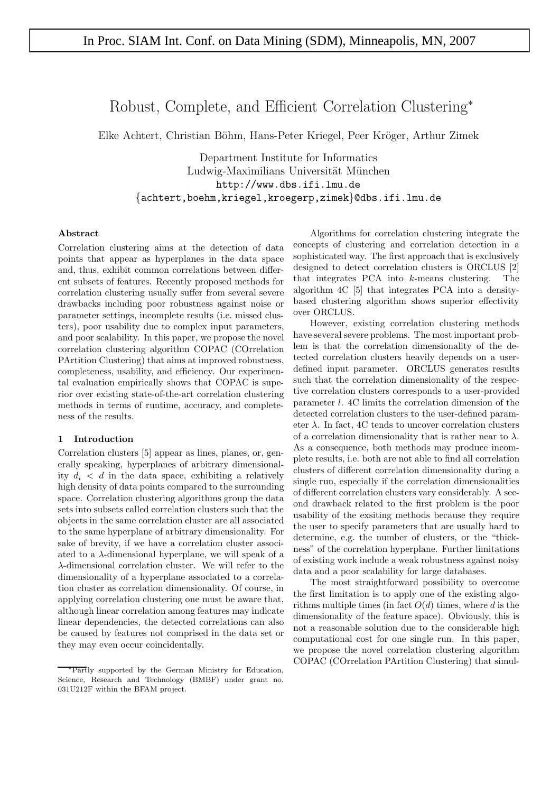# Robust, Complete, and Efficient Correlation Clustering<sup>∗</sup>

Elke Achtert, Christian Böhm, Hans-Peter Kriegel, Peer Kröger, Arthur Zimek

Department Institute for Informatics Ludwig-Maximilians Universität München http://www.dbs.ifi.lmu.de {achtert,boehm,kriegel,kroegerp,zimek}@dbs.ifi.lmu.de

### **Abstract**

Correlation clustering aims at the detection of data points that appear as hyperplanes in the data space and, thus, exhibit common correlations between different subsets of features. Recently proposed methods for correlation clustering usually suffer from several severe drawbacks including poor robustness against noise or parameter settings, incomplete results (i.e. missed clusters), poor usability due to complex input parameters, and poor scalability. In this paper, we propose the novel correlation clustering algorithm COPAC (COrrelation PArtition Clustering) that aims at improved robustness, completeness, usability, and efficiency. Our experimental evaluation empirically shows that COPAC is superior over existing state-of-the-art correlation clustering methods in terms of runtime, accuracy, and completeness of the results.

## **1 Introduction**

Correlation clusters [5] appear as lines, planes, or, generally speaking, hyperplanes of arbitrary dimensionality  $d_i < d$  in the data space, exhibiting a relatively high density of data points compared to the surrounding space. Correlation clustering algorithms group the data sets into subsets called correlation clusters such that the objects in the same correlation cluster are all associated to the same hyperplane of arbitrary dimensionality. For sake of brevity, if we have a correlation cluster associated to a  $\lambda$ -dimensional hyperplane, we will speak of a λ-dimensional correlation cluster. We will refer to the dimensionality of a hyperplane associated to a correlation cluster as correlation dimensionality. Of course, in applying correlation clustering one must be aware that, although linear correlation among features may indicate linear dependencies, the detected correlations can also be caused by features not comprised in the data set or they may even occur coincidentally.

Algorithms for correlation clustering integrate the concepts of clustering and correlation detection in a sophisticated way. The first approach that is exclusively designed to detect correlation clusters is ORCLUS [2] that integrates PCA into k-means clustering. The algorithm 4C [5] that integrates PCA into a densitybased clustering algorithm shows superior effectivity over ORCLUS.

However, existing correlation clustering methods have several severe problems. The most important problem is that the correlation dimensionality of the detected correlation clusters heavily depends on a userdefined input parameter. ORCLUS generates results such that the correlation dimensionality of the respective correlation clusters corresponds to a user-provided parameter l. 4C limits the correlation dimension of the detected correlation clusters to the user-defined parameter  $\lambda$ . In fact, 4C tends to uncover correlation clusters of a correlation dimensionality that is rather near to  $\lambda$ . As a consequence, both methods may produce incomplete results, i.e. both are not able to find all correlation clusters of different correlation dimensionality during a single run, especially if the correlation dimensionalities of different correlation clusters vary considerably. A second drawback related to the first problem is the poor usability of the exsiting methods because they require the user to specify parameters that are usually hard to determine, e.g. the number of clusters, or the "thickness" of the correlation hyperplane. Further limitations of existing work include a weak robustness against noisy data and a poor scalability for large databases.

The most straightforward possibility to overcome the first limitation is to apply one of the existing algorithms multiple times (in fact  $O(d)$  times, where d is the dimensionality of the feature space). Obviously, this is not a reasonable solution due to the considerable high computational cost for one single run. In this paper, we propose the novel correlation clustering algorithm COPAC (COrrelation PArtition Clustering) that simul-

<sup>∗</sup>Partly supported by the German Ministry for Education, Science, Research and Technology (BMBF) under grant no. 031U212F within the BFAM project.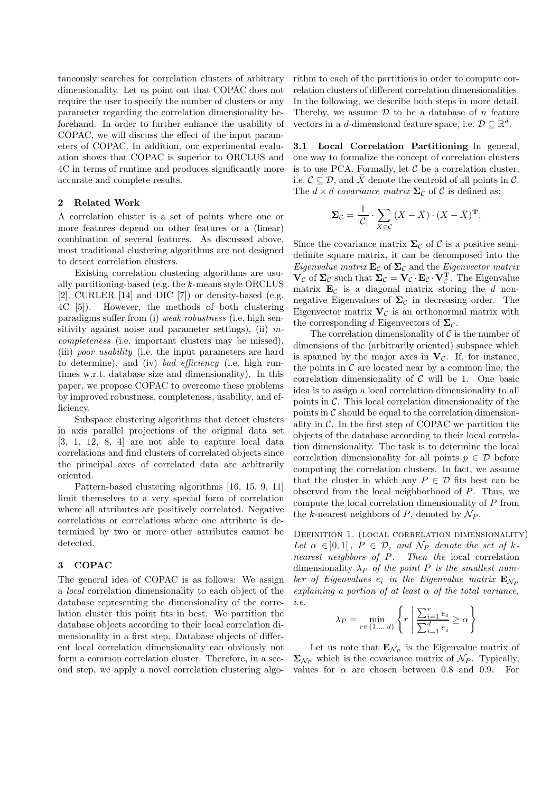taneously searches for correlation clusters of arbitrary dimensionality. Let us point out that COPAC does not require the user to specify the number of clusters or any parameter regarding the correlation dimensionality beforehand. In order to further enhance the usability of COPAC, we will discuss the effect of the input parameters of COPAC. In addition, our experimental evaluation shows that COPAC is superior to ORCLUS and 4C in terms of runtime and produces significantly more accurate and complete results.

### **2 Related Work**

A correlation cluster is a set of points where one or more features depend on other features or a (linear) combination of several features. As discussed above, most traditional clustering algorithms are not designed to detect correlation clusters.

Existing correlation clustering algorithms are usually partitioning-based (e.g. the k-means style ORCLUS [2], CURLER [14] and DIC [7]) or density-based (e.g. 4C [5]). However, the methods of both clustering paradigms suffer from (i) weak robustness (i.e. high sensitivity against noise and parameter settings), (ii)  $in$ completeness (i.e. important clusters may be missed), (iii) poor usability (i.e. the input parameters are hard to determine), and (iv) bad efficiency (i.e. high runtimes w.r.t. database size and dimensionality). In this paper, we propose COPAC to overcome these problems by improved robustness, completeness, usability, and efficiency.

Subspace clustering algorithms that detect clusters in axis parallel projections of the original data set [3, 1, 12, 8, 4] are not able to capture local data correlations and find clusters of correlated objects since the principal axes of correlated data are arbitrarily oriented.

Pattern-based clustering algorithms [16, 15, 9, 11] limit themselves to a very special form of correlation where all attributes are positively correlated. Negative correlations or correlations where one attribute is determined by two or more other attributes cannot be detected.

### **3 COPAC**

The general idea of COPAC is as follows: We assign a local correlation dimensionality to each object of the database representing the dimensionality of the correlation cluster this point fits in best. We partition the database objects according to their local correlation dimensionality in a first step. Database objects of different local correlation dimensionality can obviously not form a common correlation cluster. Therefore, in a second step, we apply a novel correlation clustering algorithm to each of the partitions in order to compute correlation clusters of different correlation dimensionalities. In the following, we describe both steps in more detail. Thereby, we assume  $\mathcal D$  to be a database of n feature vectors in a d-dimensional feature space, i.e.  $D \subseteq \mathbb{R}^d$ .

**3.1 Local Correlation Partitioning** In general, one way to formalize the concept of correlation clusters is to use PCA. Formally, let  $\mathcal C$  be a correlation cluster, i.e.  $C \subseteq \mathcal{D}$ , and  $\bar{X}$  denote the centroid of all points in C. The  $d \times d$  covariance matrix  $\Sigma_c$  of C is defined as:

$$
\Sigma_{\mathcal{C}} = \frac{1}{|\mathcal{C}|} \cdot \sum_{X \in \mathcal{C}} (X - \bar{X}) \cdot (X - \bar{X})^{\mathrm{T}}.
$$

Since the covariance matrix  $\Sigma_c$  of C is a positive semidefinite square matrix, it can be decomposed into the *Eigenvalue matrix*  $\mathbf{E}_{\mathcal{C}}$  of  $\Sigma_{\mathcal{C}}$  and the *Eigenvector matrix*  $\mathbf{V}_{\mathcal{C}}$  of  $\Sigma_{\mathcal{C}}$  such that  $\Sigma_{\mathcal{C}} = \mathbf{V}_{\mathcal{C}} \cdot \mathbf{E}_{\mathcal{C}} \cdot \mathbf{V}_{\mathcal{C}}^{\mathbf{T}}$ . The Eigenvalue matrix  $E_{\mathcal{C}}$  is a diagonal matrix storing the  $d$  nonnegative Eigenvalues of  $\Sigma_c$  in decreasing order. The Eigenvector matrix  $\mathbf{V}_{\mathcal{C}}$  is an orthonormal matrix with the corresponding d Eigenvectors of  $\Sigma_c$ .

The correlation dimensionality of  $\mathcal C$  is the number of dimensions of the (arbitrarily oriented) subspace which is spanned by the major axes in  $V_c$ . If, for instance, the points in  $\mathcal C$  are located near by a common line, the correlation dimensionality of  $C$  will be 1. One basic idea is to assign a local correlation dimensionality to all points in C. This local correlation dimensionality of the points in  $\mathcal C$  should be equal to the correlation dimensionality in  $\mathcal{C}$ . In the first step of COPAC we partition the objects of the database according to their local correlation dimensionality. The task is to determine the local correlation dimensionality for all points  $p \in \mathcal{D}$  before computing the correlation clusters. In fact, we assume that the cluster in which any  $P \in \mathcal{D}$  fits best can be observed from the local neighborhood of P. Thus, we compute the local correlation dimensionality of P from the k-nearest neighbors of P, denoted by  $\mathcal{N}_P$ .

Definition 1. (local correlation dimensionality) Let  $\alpha \in ]0,1[$ ,  $P \in \mathcal{D}$ , and  $\mathcal{N}_P$  denote the set of knearest neighbors of P. Then the local correlation dimensionality  $\lambda_P$  of the point P is the smallest number of Eigenvalues  $e_i$  in the Eigenvalue matrix  $\mathbf{E}_{N_P}$ explaining a portion of at least  $\alpha$  of the total variance, i.e.

$$
\lambda_P = \min_{r \in \{1, \dots, d\}} \left\{ r \mid \frac{\sum_{i=1}^r e_i}{\sum_{i=1}^d e_i} \ge \alpha \right\}
$$

Let us note that  $\mathbf{E}_{\mathcal{N}_P}$  is the Eigenvalue matrix of  $\Sigma_{\mathcal{N}_P}$  which is the covariance matrix of  $\mathcal{N}_P$ . Typically, values for  $\alpha$  are chosen between 0.8 and 0.9. For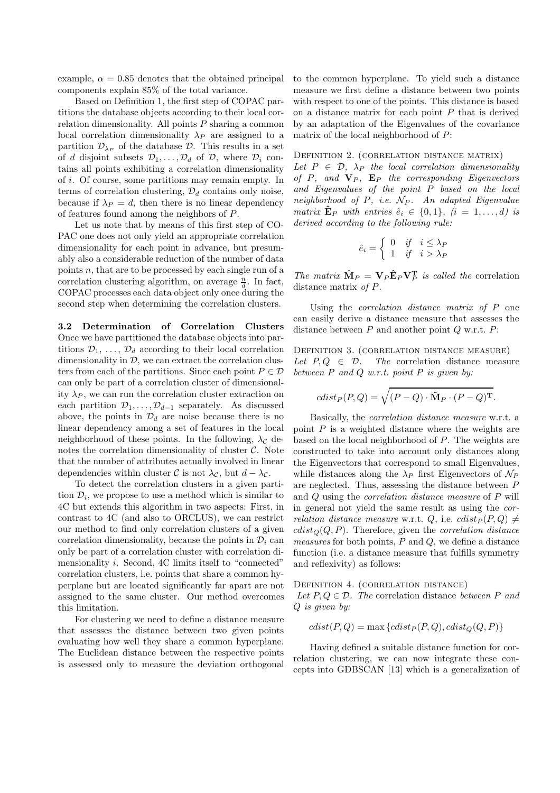example,  $\alpha = 0.85$  denotes that the obtained principal components explain 85% of the total variance.

Based on Definition 1, the first step of COPAC partitions the database objects according to their local correlation dimensionality. All points  $P$  sharing a common local correlation dimensionality  $\lambda_P$  are assigned to a partition  $\mathcal{D}_{\lambda_P}$  of the database  $\mathcal{D}$ . This results in a set of d disjoint subsets  $\mathcal{D}_1,\ldots,\mathcal{D}_d$  of  $\mathcal{D}_1$ , where  $\mathcal{D}_i$  contains all points exhibiting a correlation dimensionality of i. Of course, some partitions may remain empty. In terms of correlation clustering,  $\mathcal{D}_d$  contains only noise, because if  $\lambda_P = d$ , then there is no linear dependency of features found among the neighbors of P.

Let us note that by means of this first step of CO-PAC one does not only yield an appropriate correlation dimensionality for each point in advance, but presumably also a considerable reduction of the number of data points  $n$ , that are to be processed by each single run of a correlation clustering algorithm, on average  $\frac{n}{d}$ . In fact, COPAC processes each data object only once during the second step when determining the correlation clusters.

**3.2 Determination of Correlation Clusters** Once we have partitioned the database objects into partitions  $\mathcal{D}_1, \ldots, \mathcal{D}_d$  according to their local correlation dimensionality in  $\mathcal{D}$ , we can extract the correlation clusters from each of the partitions. Since each point  $P \in \mathcal{D}$ can only be part of a correlation cluster of dimensionality  $\lambda_P$ , we can run the correlation cluster extraction on each partition  $\mathcal{D}_1,\ldots,\mathcal{D}_{d-1}$  separately. As discussed above, the points in  $\mathcal{D}_d$  are noise because there is no linear dependency among a set of features in the local neighborhood of these points. In the following,  $\lambda_c$  denotes the correlation dimensionality of cluster  $\mathcal{C}$ . Note that the number of attributes actually involved in linear dependencies within cluster C is not  $\lambda_c$ , but  $d - \lambda_c$ .

To detect the correlation clusters in a given partition  $\mathcal{D}_i$ , we propose to use a method which is similar to 4C but extends this algorithm in two aspects: First, in contrast to 4C (and also to ORCLUS), we can restrict our method to find only correlation clusters of a given correlation dimensionality, because the points in  $\mathcal{D}_i$  can only be part of a correlation cluster with correlation dimensionality i. Second, 4C limits itself to "connected" correlation clusters, i.e. points that share a common hyperplane but are located significantly far apart are not assigned to the same cluster. Our method overcomes this limitation.

For clustering we need to define a distance measure that assesses the distance between two given points evaluating how well they share a common hyperplane. The Euclidean distance between the respective points is assessed only to measure the deviation orthogonal to the common hyperplane. To yield such a distance measure we first define a distance between two points with respect to one of the points. This distance is based on a distance matrix for each point  $P$  that is derived by an adaptation of the Eigenvalues of the covariance matrix of the local neighborhood of P:

# DEFINITION 2. (CORRELATION DISTANCE MATRIX)

Let  $P \in \mathcal{D}$ ,  $\lambda_P$  the local correlation dimensionality of  $P$ , and  $V_P$ ,  $E_P$  the corresponding Eigenvectors and Eigenvalues of the point P based on the local neighborhood of  $P$ , i.e.  $N_P$ . An adapted Eigenvalue matrix  $\mathbf{\hat{E}}_P$  with entries  $\hat{e}_i \in \{0,1\}$ ,  $(i = 1,\ldots,d)$  is derived according to the following rule:

$$
\hat{e}_i = \begin{cases} 0 & \text{if } i \leq \lambda_P \\ 1 & \text{if } i > \lambda_P \end{cases}
$$

The matrix  $\mathbf{\hat{M}}_P = \mathbf{V}_P \mathbf{\hat{E}}_P \mathbf{V}_P^T$  is called the correlation distance matrix of P.

Using the correlation distance matrix of P one can easily derive a distance measure that assesses the distance between  $P$  and another point  $Q$  w.r.t.  $P$ :

Definition 3. (correlation distance measure) Let  $P, Q \in \mathcal{D}$ . The correlation distance measure between  $P$  and  $Q$  w.r.t. point  $P$  is given by:

$$
cdist_P(P,Q) = \sqrt{(P-Q) \cdot \hat{M}_P \cdot (P-Q)^T}.
$$

Basically, the correlation distance measure w.r.t. a point  $P$  is a weighted distance where the weights are based on the local neighborhood of P. The weights are constructed to take into account only distances along the Eigenvectors that correspond to small Eigenvalues, while distances along the  $\lambda_P$  first Eigenvectors of  $\mathcal{N}_P$ are neglected. Thus, assessing the distance between P and Q using the correlation distance measure of P will in general not yield the same result as using the correlation distance measure w.r.t. Q, i.e.  $clist_P (P, Q) \neq$  $cdist_Q(Q, P)$ . Therefore, given the *correlation distance* measures for both points, P and Q, we define a distance function (i.e. a distance measure that fulfills symmetry and reflexivity) as follows:

DEFINITION 4. (CORRELATION DISTANCE)

Let  $P, Q \in \mathcal{D}$ . The correlation distance between P and Q is given by:

$$
cdist(P,Q) = \max \{cdist_P(P,Q), cdist_Q(Q,P)\}
$$

Having defined a suitable distance function for correlation clustering, we can now integrate these concepts into GDBSCAN [13] which is a generalization of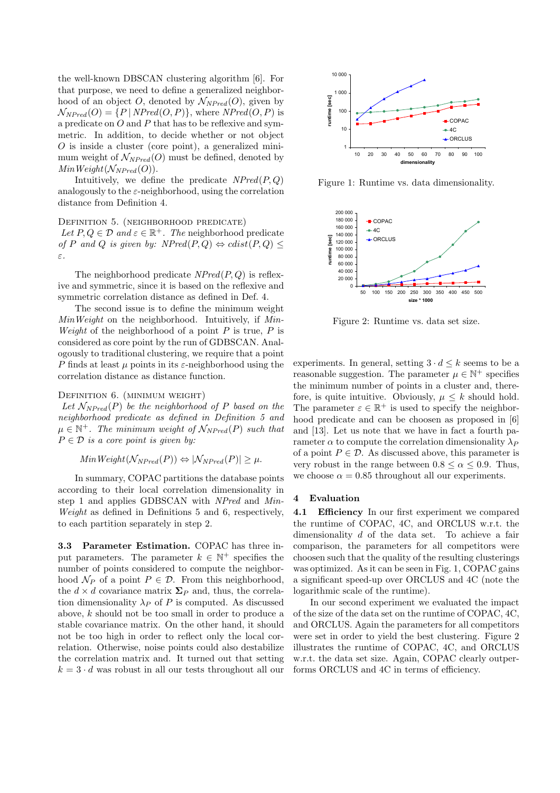the well-known DBSCAN clustering algorithm [6]. For that purpose, we need to define a generalized neighborhood of an object O, denoted by  $\mathcal{N}_{NPred}(O)$ , given by  $\mathcal{N}_{NPred}(O) = \{P | NPred(O, P)\},$  where  $NPred(O, P)$  is a predicate on  $O$  and  $P$  that has to be reflexive and symmetric. In addition, to decide whether or not object  $O$  is inside a cluster (core point), a generalized minimum weight of  $\mathcal{N}_{NPred}(O)$  must be defined, denoted by  $MinWeight(\mathcal{N}_{NPred}(O)).$ 

Intuitively, we define the predicate  $NPred(P,Q)$ analogously to the  $\varepsilon$ -neighborhood, using the correlation distance from Definition 4.

DEFINITION 5. (NEIGHBORHOOD PREDICATE) Let  $P, Q \in \mathcal{D}$  and  $\varepsilon \in \mathbb{R}^+$ . The neighborhood predicate of P and Q is given by:  $NPred(P, Q) \Leftrightarrow clist(P, Q) \leq$ ε.

The neighborhood predicate  $NPred(P,Q)$  is reflexive and symmetric, since it is based on the reflexive and symmetric correlation distance as defined in Def. 4.

The second issue is to define the minimum weight MinWeight on the neighborhood. Intuitively, if Min-Weight of the neighborhood of a point  $P$  is true,  $P$  is considered as core point by the run of GDBSCAN. Analogously to traditional clustering, we require that a point P finds at least  $\mu$  points in its  $\varepsilon$ -neighborhood using the correlation distance as distance function.

# DEFINITION 6. (MINIMUM WEIGHT)

Let  $\mathcal{N}_{NPred}(P)$  be the neighborhood of P based on the neighborhood predicate as defined in Definition 5 and  $\mu \in \mathbb{N}^+$ . The minimum weight of  $\mathcal{N}_{NPred}(P)$  such that  $P \in \mathcal{D}$  is a core point is given by:

$$
MinWeight(\mathcal{N}_{NPred}(P)) \Leftrightarrow |\mathcal{N}_{NPred}(P)| \ge \mu.
$$

In summary, COPAC partitions the database points according to their local correlation dimensionality in step 1 and applies GDBSCAN with NPred and Min-Weight as defined in Definitions 5 and 6, respectively, to each partition separately in step 2.

**3.3 Parameter Estimation.** COPAC has three input parameters. The parameter  $k \in \mathbb{N}^+$  specifies the number of points considered to compute the neighborhood  $\mathcal{N}_P$  of a point  $P \in \mathcal{D}$ . From this neighborhood, the  $d \times d$  covariance matrix  $\Sigma_P$  and, thus, the correlation dimensionality  $\lambda_P$  of P is computed. As discussed above, k should not be too small in order to produce a stable covariance matrix. On the other hand, it should not be too high in order to reflect only the local correlation. Otherwise, noise points could also destabilize the correlation matrix and. It turned out that setting  $k = 3 \cdot d$  was robust in all our tests throughout all our



Figure 1: Runtime vs. data dimensionality.



Figure 2: Runtime vs. data set size.

experiments. In general, setting  $3 \cdot d \leq k$  seems to be a reasonable suggestion. The parameter  $\mu \in \mathbb{N}^+$  specifies the minimum number of points in a cluster and, therefore, is quite intuitive. Obviously,  $\mu \leq k$  should hold. The parameter  $\varepsilon \in \mathbb{R}^+$  is used to specify the neighborhood predicate and can be choosen as proposed in [6] and [13]. Let us note that we have in fact a fourth parameter  $\alpha$  to compute the correlation dimensionality  $\lambda_P$ of a point  $P \in \mathcal{D}$ . As discussed above, this parameter is very robust in the range between  $0.8 \le \alpha \le 0.9$ . Thus, we choose  $\alpha = 0.85$  throughout all our experiments.

### **4 Evaluation**

**4.1 Efficiency** In our first experiment we compared the runtime of COPAC, 4C, and ORCLUS w.r.t. the dimensionality d of the data set. To achieve a fair comparison, the parameters for all competitors were choosen such that the quality of the resulting clusterings was optimized. As it can be seen in Fig. 1, COPAC gains a significant speed-up over ORCLUS and 4C (note the logarithmic scale of the runtime).

In our second experiment we evaluated the impact of the size of the data set on the runtime of COPAC, 4C, and ORCLUS. Again the parameters for all competitors were set in order to yield the best clustering. Figure 2 illustrates the runtime of COPAC, 4C, and ORCLUS w.r.t. the data set size. Again, COPAC clearly outperforms ORCLUS and 4C in terms of efficiency.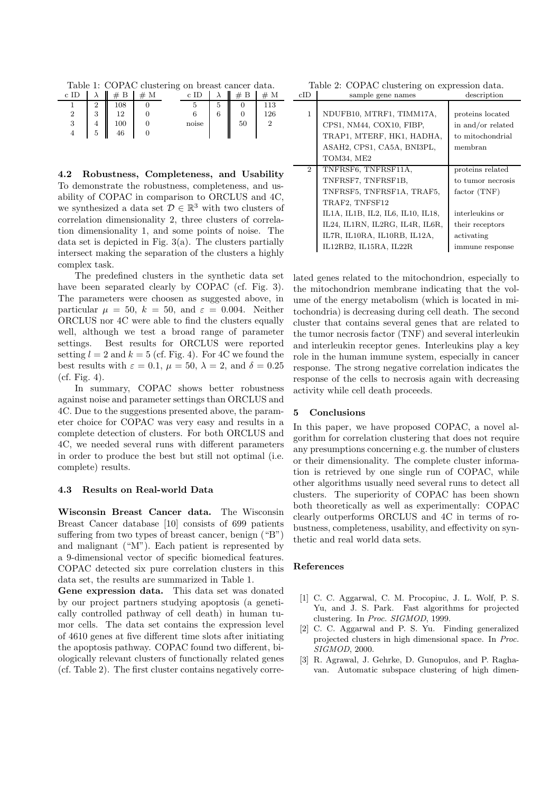Table 1: COPAC clustering on breast cancer data.

| с      |   |     | М | C     |   |    | М   |
|--------|---|-----|---|-------|---|----|-----|
|        | റ | 108 |   |       | 5 |    | 113 |
| າ<br>↩ | 3 |     |   |       | 6 |    | 126 |
| 2<br>◡ | 4 | 100 |   | noise |   | 50 |     |
|        | 5 | 46  |   |       |   |    |     |

**4.2 Robustness, Completeness, and Usability** To demonstrate the robustness, completeness, and usability of COPAC in comparison to ORCLUS and 4C, we synthesized a data set  $\mathcal{D} \in \mathbb{R}^3$  with two clusters of correlation dimensionality 2, three clusters of correlation dimensionality 1, and some points of noise. The data set is depicted in Fig. 3(a). The clusters partially intersect making the separation of the clusters a highly complex task.

The predefined clusters in the synthetic data set have been separated clearly by COPAC (cf. Fig. 3). The parameters were choosen as suggested above, in particular  $\mu = 50$ ,  $k = 50$ , and  $\varepsilon = 0.004$ . Neither ORCLUS nor 4C were able to find the clusters equally well, although we test a broad range of parameter settings. Best results for ORCLUS were reported setting  $l = 2$  and  $k = 5$  (cf. Fig. 4). For 4C we found the best results with  $\varepsilon = 0.1$ ,  $\mu = 50$ ,  $\lambda = 2$ , and  $\delta = 0.25$  $(cf. Fig. 4).$ 

In summary, COPAC shows better robustness against noise and parameter settings than ORCLUS and 4C. Due to the suggestions presented above, the parameter choice for COPAC was very easy and results in a complete detection of clusters. For both ORCLUS and 4C, we needed several runs with different parameters in order to produce the best but still not optimal (i.e. complete) results.

### **4.3 Results on Real-world Data**

**Wisconsin Breast Cancer data.** The Wisconsin Breast Cancer database [10] consists of 699 patients suffering from two types of breast cancer, benign ("B") and malignant ("M"). Each patient is represented by a 9-dimensional vector of specific biomedical features. COPAC detected six pure correlation clusters in this data set, the results are summarized in Table 1.

**Gene expression data.** This data set was donated by our project partners studying apoptosis (a genetically controlled pathway of cell death) in human tumor cells. The data set contains the expression level of 4610 genes at five different time slots after initiating the apoptosis pathway. COPAC found two different, biologically relevant clusters of functionally related genes (cf. Table 2). The first cluster contains negatively corre-

Table 2: COPAC clustering on expression data. cID sample gene names description

| 1              | NDUFB10, MTRF1, TIMM17A,<br>CPS1, NM44, COX10, FIBP,<br>TRAP1, MTERF, HK1, HADHA,<br>ASAH2, CPS1, CA5A, BNI3PL,<br>TOM34, ME2 | proteins located<br>in and/or related<br>to mitochondrial<br>membran |
|----------------|-------------------------------------------------------------------------------------------------------------------------------|----------------------------------------------------------------------|
| $\overline{2}$ | TNFRSF6, TNFRSF11A,                                                                                                           | proteins related                                                     |
|                | TNFRSF7, TNFRSF1B,                                                                                                            | to tumor necrosis                                                    |
|                | TNFRSF5, TNFRSF1A, TRAF5,                                                                                                     | factor(TNF)                                                          |
|                | TRAF2, TNFSF12                                                                                                                |                                                                      |
|                | IL1A, IL1B, IL2, IL6, IL10, IL18,                                                                                             | interleukins or                                                      |
|                | IL24, IL1RN, IL2RG, IL4R, IL6R,                                                                                               | their receptors                                                      |
|                | IL7R, IL10RA, IL10RB, IL12A,                                                                                                  | activating                                                           |
|                | IL12RB2, IL15RA, IL22R                                                                                                        | immune response                                                      |
|                |                                                                                                                               |                                                                      |

lated genes related to the mitochondrion, especially to the mitochondrion membrane indicating that the volume of the energy metabolism (which is located in mitochondria) is decreasing during cell death. The second cluster that contains several genes that are related to the tumor necrosis factor (TNF) and several interleukin and interleukin receptor genes. Interleukins play a key role in the human immune system, especially in cancer response. The strong negative correlation indicates the response of the cells to necrosis again with decreasing activity while cell death proceeds.

### **5 Conclusions**

In this paper, we have proposed COPAC, a novel algorithm for correlation clustering that does not require any presumptions concerning e.g. the number of clusters or their dimensionality. The complete cluster information is retrieved by one single run of COPAC, while other algorithms usually need several runs to detect all clusters. The superiority of COPAC has been shown both theoretically as well as experimentally: COPAC clearly outperforms ORCLUS and 4C in terms of robustness, completeness, usability, and effectivity on synthetic and real world data sets.

#### **References**

- [1] C. C. Aggarwal, C. M. Procopiuc, J. L. Wolf, P. S. Yu, and J. S. Park. Fast algorithms for projected clustering. In Proc. SIGMOD, 1999.
- [2] C. C. Aggarwal and P. S. Yu. Finding generalized projected clusters in high dimensional space. In Proc. SIGMOD, 2000.
- [3] R. Agrawal, J. Gehrke, D. Gunopulos, and P. Raghavan. Automatic subspace clustering of high dimen-